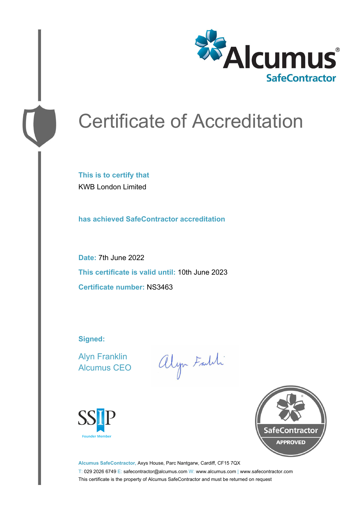

# Certificate of Accreditation

**This is to certify that** KWB London Limited

**has achieved SafeContractor accreditation**

**Date:** 7th June 2022 **This certificate is valid until:** 10th June 2023 **Certificate number:** NS3463

**Signed:**

Alyn Franklin Alcumus CEO

alyn Faith





**Alcumus SafeContractor,** Axys House, Parc Nantgarw, Cardiff, CF15 7QX T: 029 2026 6749 E: safecontractor@alcumus.com W: www.alcumus.com | www.safecontractor.com This certificate is the property of Alcumus SafeContractor and must be returned on request